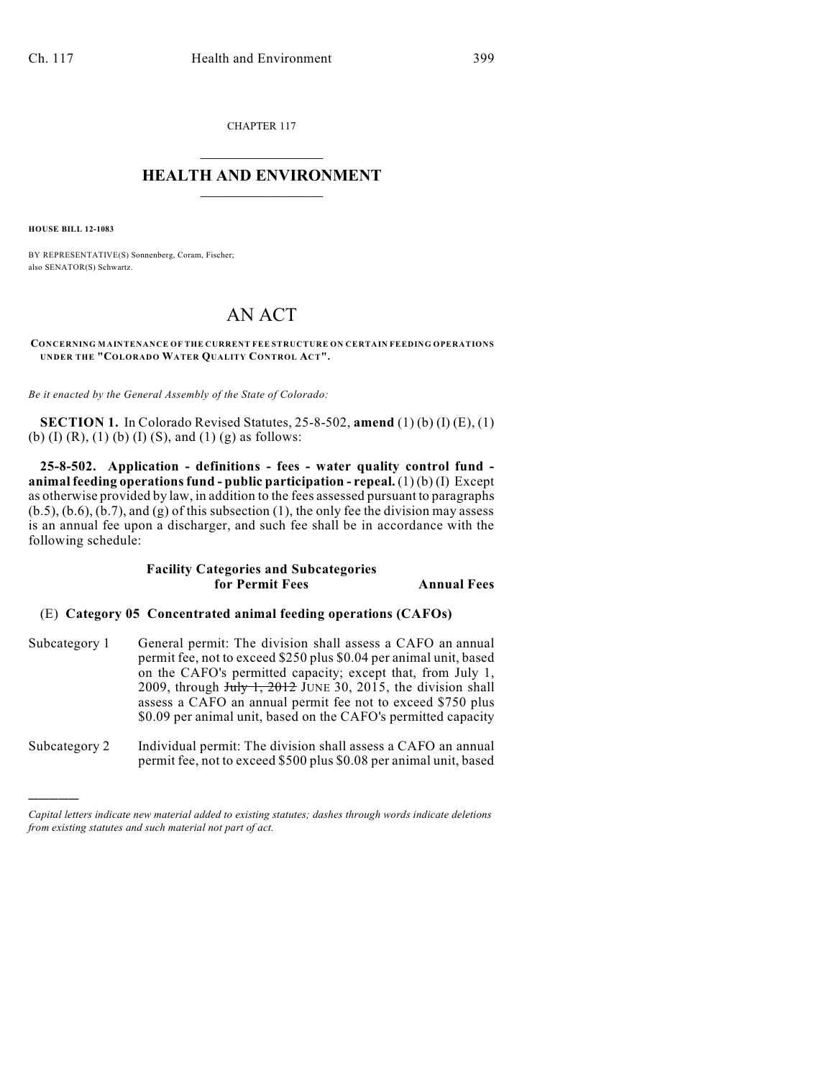CHAPTER 117  $\mathcal{L}_\text{max}$  . The set of the set of the set of the set of the set of the set of the set of the set of the set of the set of the set of the set of the set of the set of the set of the set of the set of the set of the set

## **HEALTH AND ENVIRONMENT**  $\_$

**HOUSE BILL 12-1083**

)))))

BY REPRESENTATIVE(S) Sonnenberg, Coram, Fischer; also SENATOR(S) Schwartz.

# AN ACT

#### **CONCERNING MAINTENANCE OF THE CURRENT FEE STRUCTURE ON CERTAIN FEEDING OPERATIONS UNDER THE "COLORADO WATER QUALITY CONTROL ACT".**

*Be it enacted by the General Assembly of the State of Colorado:*

**SECTION 1.** In Colorado Revised Statutes, 25-8-502, **amend** (1) (b) (I) (E), (1) (b) (I) (R), (1) (b) (I) (S), and (1) (g) as follows:

**25-8-502. Application - definitions - fees - water quality control fund animal feeding operationsfund - public participation - repeal.** (1) (b) (I) Except as otherwise provided by law, in addition to the fees assessed pursuant to paragraphs  $(b.5)$ ,  $(b.6)$ ,  $(b.7)$ , and  $(g)$  of this subsection  $(1)$ , the only fee the division may assess is an annual fee upon a discharger, and such fee shall be in accordance with the following schedule:

### **Facility Categories and Subcategories for Permit Fees Annual Fees**

#### (E) **Category 05 Concentrated animal feeding operations (CAFOs)**

- Subcategory 1 General permit: The division shall assess a CAFO an annual permit fee, not to exceed \$250 plus \$0.04 per animal unit, based on the CAFO's permitted capacity; except that, from July 1, 2009, through  $July 1, 2012$  JUNE 30, 2015, the division shall assess a CAFO an annual permit fee not to exceed \$750 plus \$0.09 per animal unit, based on the CAFO's permitted capacity
- Subcategory 2 Individual permit: The division shall assess a CAFO an annual permit fee, not to exceed \$500 plus \$0.08 per animal unit, based

*Capital letters indicate new material added to existing statutes; dashes through words indicate deletions from existing statutes and such material not part of act.*